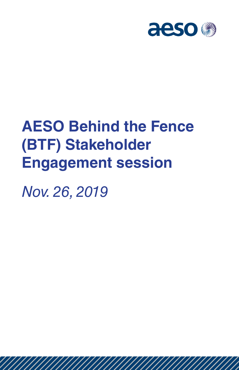

# **AESO Behind the Fence (BTF) Stakeholder Engagement session**

*Nov. 26, 2019*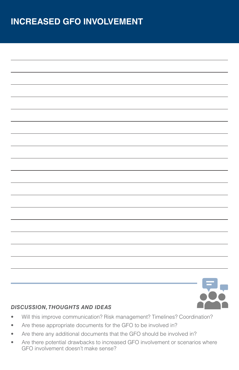### **INCREASED GFO INVOLVEMENT**

- Will this improve communication? Risk management? Timelines? Coordination?
- Are these appropriate documents for the GFO to be involved in?
- Are there any additional documents that the GFO should be involved in?
- Are there potential drawbacks to increased GFO involvement or scenarios where GFO involvement doesn't make sense?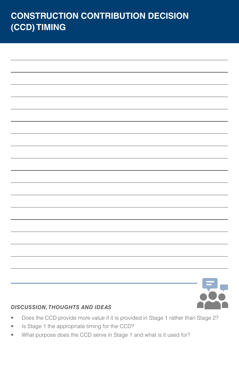# **CONSTRUCTION CONTRIBUTION DECISION (CCD) TIMING**



- Does the CCD provide more value if it is provided in Stage 1 rather than Stage 2?
- Is Stage 1 the appropriate timing for the CCD?
- What purpose does the CCD serve in Stage 1 and what is it used for?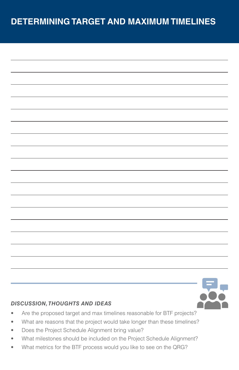### **DETERMINING TARGET AND MAXIMUM TIMELINES**

- Are the proposed target and max timelines reasonable for BTF projects?
- What are reasons that the project would take longer than these timelines?
- Does the Project Schedule Alignment bring value?
- What milestones should be included on the Project Schedule Alignment?
- What metrics for the BTF process would you like to see on the QRG?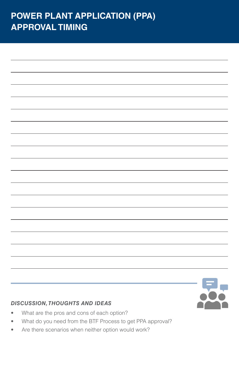### **POWER PLANT APPLICATION (PPA) APPROVAL TIMING**

- What are the pros and cons of each option?
- What do you need from the BTF Process to get PPA approval?
- Are there scenarios when neither option would work?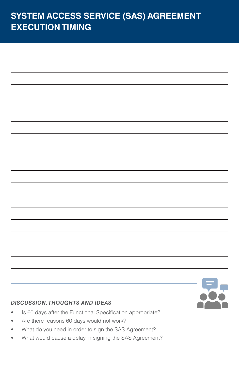## **SYSTEM ACCESS SERVICE (SAS) AGREEMENT EXECUTION TIMING**

- Is 60 days after the Functional Specification appropriate?
- Are there reasons 60 days would not work?
- What do you need in order to sign the SAS Agreement?
- What would cause a delay in signing the SAS Agreement?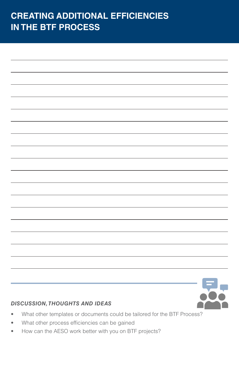### **CREATING ADDITIONAL EFFICIENCIES IN THE BTF PROCESS**

- What other templates or documents could be tailored for the BTF Process?
- What other process efficiencies can be gained
- How can the AESO work better with you on BTF projects?